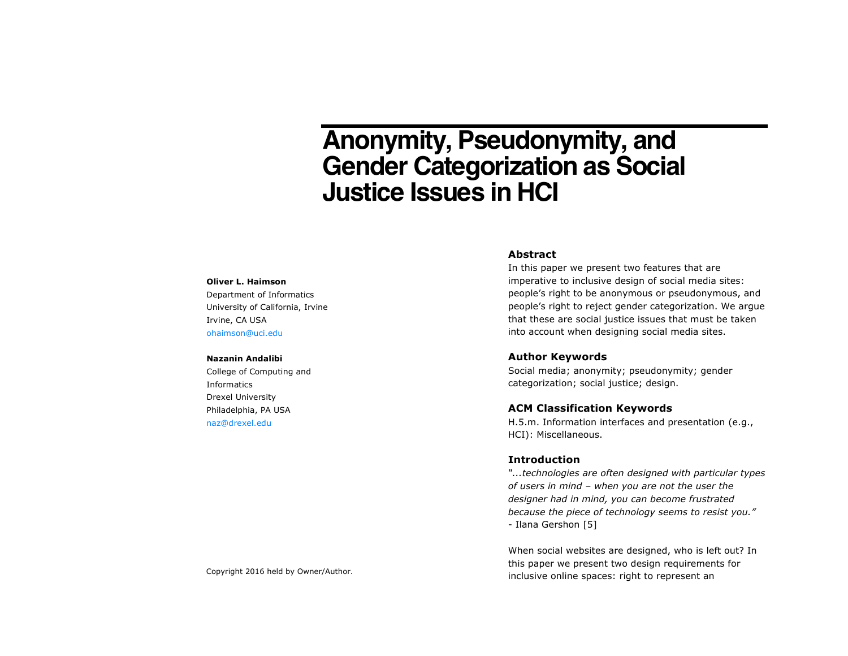# **Anonymity, Pseudonymity, and Gender Categorization as Social Justice Issues in HCI**

#### **Oliver L. Haimson**

Department of Informatics University of California, Irvine Irvine, CA USA ohaimson@uci.edu

#### **Nazanin Andalibi**

College of Computing and Informatics Drexel University Philadelphia, PA USA naz@drexel.edu

#### **Abstract**

In this paper we present two features that are imperative to inclusive design of social media sites: people's right to be anonymous or pseudonymous, and people's right to reject gender categorization. We argue that these are social justice issues that must be taken into account when designing social media sites.

### **Author Keywords**

Social media; anonymity; pseudonymity; gender categorization; social justice; design.

## **ACM Classification Keywords**

H.5.m. Information interfaces and presentation (e.g., HCI): Miscellaneous.

### **Introduction**

*"...technologies are often designed with particular types of users in mind – when you are not the user the designer had in mind, you can become frustrated because the piece of technology seems to resist you."*  - Ilana Gershon [5]

When social websites are designed, who is left out? In this paper we present two design requirements for inclusive online spaces: right to represent an Copyright 2016 held by Owner/Author.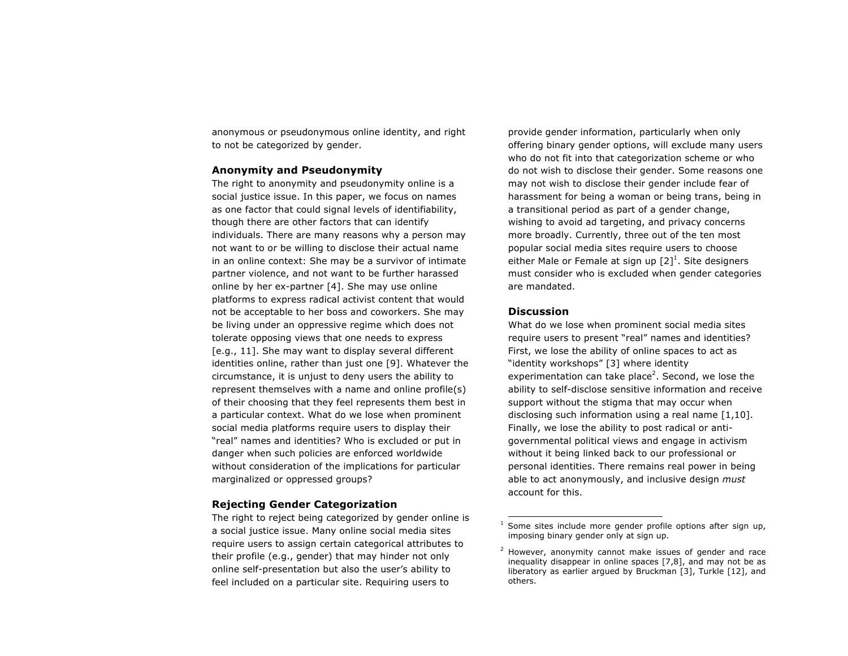anonymous or pseudonymous online identity, and right to not be categorized by gender.

# **Anonymity and Pseudonymity**

The right to anonymity and pseudonymity online is a social justice issue. In this paper, we focus on names as one factor that could signal levels of identifiability, though there are other factors that can identify individuals. There are many reasons why a person may not want to or be willing to disclose their actual name in an online context: She may be a survivor of intimate partner violence, and not want to be further harassed online by her ex-partner [4]. She may use online platforms to express radical activist content that would not be acceptable to her boss and coworkers. She may be living under an oppressive regime which does not tolerate opposing views that one needs to express [e.g., 11]. She may want to display several different identities online, rather than just one [9]. Whatever the circumstance, it is unjust to deny users the ability to represent themselves with a name and online profile(s) of their choosing that they feel represents them best in a particular context. What do we lose when prominent social media platforms require users to display their "real" names and identities? Who is excluded or put in danger when such policies are enforced worldwide without consideration of the implications for particular marginalized or oppressed groups?

# **Rejecting Gender Categorization**

The right to reject being categorized by gender online is a social justice issue. Many online social media sites require users to assign certain categorical attributes to their profile (e.g., gender) that may hinder not only online self-presentation but also the user's ability to feel included on a particular site. Requiring users to

provide gender information, particularly when only offering binary gender options, will exclude many users who do not fit into that categorization scheme or who do not wish to disclose their gender. Some reasons one may not wish to disclose their gender include fear of harassment for being a woman or being trans, being in a transitional period as part of a gender change, wishing to avoid ad targeting, and privacy concerns more broadly. Currently, three out of the ten most popular social media sites require users to choose either Male or Female at sign up  $[2]^1$ . Site designers must consider who is excluded when gender categories are mandated.

# **Discussion**

What do we lose when prominent social media sites require users to present "real" names and identities? First, we lose the ability of online spaces to act as "identity workshops" [3] where identity experimentation can take place<sup>2</sup>. Second, we lose the ability to self-disclose sensitive information and receive support without the stigma that may occur when disclosing such information using a real name [1,10]. Finally, we lose the ability to post radical or antigovernmental political views and engage in activism without it being linked back to our professional or personal identities. There remains real power in being able to act anonymously, and inclusive design *must* account for this.

Some sites include more gender profile options after sign up, imposing binary gender only at sign up.

 $2$  However, anonymity cannot make issues of gender and race inequality disappear in online spaces [7,8], and may not be as liberatory as earlier argued by Bruckman [3], Turkle [12], and others.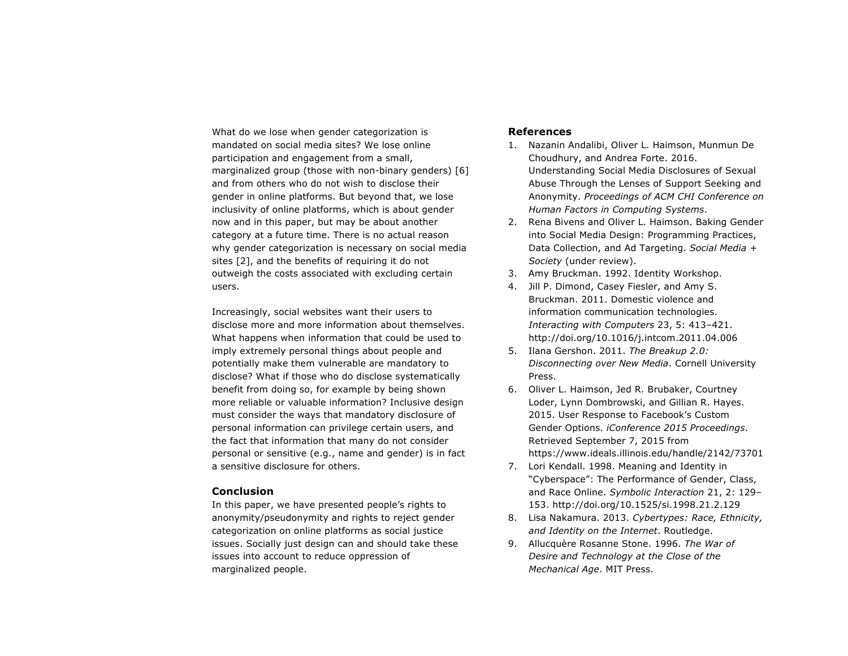What do we lose when gender categorization is mandated on social media sites? We lose online participation and engagement from a small, marginalized group (those with non-binary genders) [6] and from others who do not wish to disclose their gender in online platforms. But beyond that, we lose inclusivity of online platforms, which is about gender now and in this paper, but may be about another category at a future time. There is no actual reason why gender categorization is necessary on social media sites [2], and the benefits of requiring it do not outweigh the costs associated with excluding certain users.

Increasingly, social websites want their users to disclose more and more information about themselves. What happens when information that could be used to imply extremely personal things about people and potentially make them vulnerable are mandatory to disclose? What if those who do disclose systematically benefit from doing so, for example by being shown more reliable or valuable information? Inclusive design must consider the ways that mandatory disclosure of personal information can privilege certain users, and the fact that information that many do not consider personal or sensitive (e.g., name and gender) is in fact a sensitive disclosure for others.

# **Conclusion**

In this paper, we have presented people's rights to anonymity/pseudonymity and rights to reject gender categorization on online platforms as social justice issues. Socially just design can and should take these issues into account to reduce oppression of marginalized people.

# **References**

- 1. Nazanin Andalibi, Oliver L. Haimson, Munmun De Choudhury, and Andrea Forte. 2016. Understanding Social Media Disclosures of Sexual Abuse Through the Lenses of Support Seeking and Anonymity. *Proceedings of ACM CHI Conference on Human Factors in Computing Systems*.
- 2. Rena Bivens and Oliver L. Haimson. Baking Gender into Social Media Design: Programming Practices, Data Collection, and Ad Targeting. *Social Media + Society* (under review).
- 3. Amy Bruckman. 1992. Identity Workshop.
- 4. Jill P. Dimond, Casey Fiesler, and Amy S. Bruckman. 2011. Domestic violence and information communication technologies. *Interacting with Computers* 23, 5: 413–421. http://doi.org/10.1016/j.intcom.2011.04.006
- 5. Ilana Gershon. 2011. *The Breakup 2.0: Disconnecting over New Media*. Cornell University Press.
- 6. Oliver L. Haimson, Jed R. Brubaker, Courtney Loder, Lynn Dombrowski, and Gillian R. Hayes. 2015. User Response to Facebook's Custom Gender Options. *iConference 2015 Proceedings*. Retrieved September 7, 2015 from https://www.ideals.illinois.edu/handle/2142/73701
- 7. Lori Kendall. 1998. Meaning and Identity in "Cyberspace": The Performance of Gender, Class, and Race Online. *Symbolic Interaction* 21, 2: 129– 153. http://doi.org/10.1525/si.1998.21.2.129
- 8. Lisa Nakamura. 2013. *Cybertypes: Race, Ethnicity, and Identity on the Internet*. Routledge.
- 9. Allucquère Rosanne Stone. 1996. *The War of Desire and Technology at the Close of the Mechanical Age*. MIT Press.